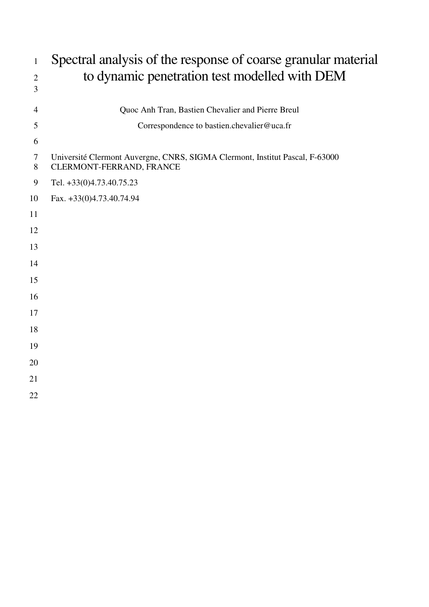| $\mathbf{1}$    | Spectral analysis of the response of coarse granular material                                            |  |  |  |  |
|-----------------|----------------------------------------------------------------------------------------------------------|--|--|--|--|
| $\mathbf{2}$    | to dynamic penetration test modelled with DEM                                                            |  |  |  |  |
| 3               |                                                                                                          |  |  |  |  |
| $\overline{4}$  | Quoc Anh Tran, Bastien Chevalier and Pierre Breul                                                        |  |  |  |  |
| 5               | Correspondence to bastien.chevalier@uca.fr                                                               |  |  |  |  |
| 6               |                                                                                                          |  |  |  |  |
| $\tau$<br>$8\,$ | Université Clermont Auvergne, CNRS, SIGMA Clermont, Institut Pascal, F-63000<br>CLERMONT-FERRAND, FRANCE |  |  |  |  |
| 9               | Tel. +33(0)4.73.40.75.23                                                                                 |  |  |  |  |
| 10              | Fax. +33(0)4.73.40.74.94                                                                                 |  |  |  |  |
| 11              |                                                                                                          |  |  |  |  |
| 12              |                                                                                                          |  |  |  |  |
| 13              |                                                                                                          |  |  |  |  |
| 14              |                                                                                                          |  |  |  |  |
| 15              |                                                                                                          |  |  |  |  |
| 16              |                                                                                                          |  |  |  |  |
| 17              |                                                                                                          |  |  |  |  |
| 18              |                                                                                                          |  |  |  |  |
| 19              |                                                                                                          |  |  |  |  |
| 20              |                                                                                                          |  |  |  |  |
| 21              |                                                                                                          |  |  |  |  |
| 22              |                                                                                                          |  |  |  |  |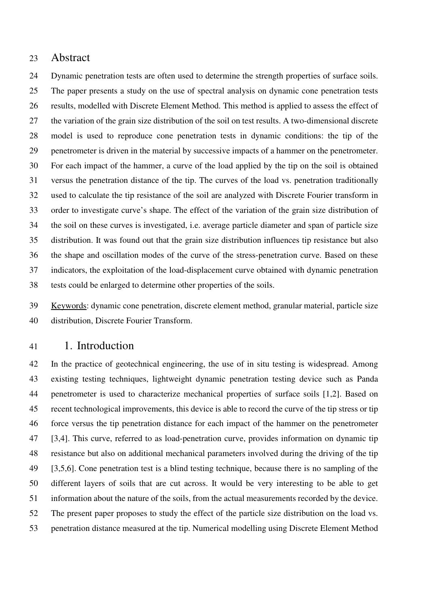### 23 Abstract

24 Dynamic penetration tests are often used to determine the strength properties of surface soils. 25 The paper presents a study on the use of spectral analysis on dynamic cone penetration tests 26 results, modelled with Discrete Element Method. This method is applied to assess the effect of 27 the variation of the grain size distribution of the soil on test results. A two-dimensional discrete 28 model is used to reproduce cone penetration tests in dynamic conditions: the tip of the 29 penetrometer is driven in the material by successive impacts of a hammer on the penetrometer. 30 For each impact of the hammer, a curve of the load applied by the tip on the soil is obtained 31 versus the penetration distance of the tip. The curves of the load vs. penetration traditionally 32 used to calculate the tip resistance of the soil are analyzed with Discrete Fourier transform in 33 order to investigate curve's shape. The effect of the variation of the grain size distribution of 34 the soil on these curves is investigated, i.e. average particle diameter and span of particle size 35 distribution. It was found out that the grain size distribution influences tip resistance but also 36 the shape and oscillation modes of the curve of the stress-penetration curve. Based on these 37 indicators, the exploitation of the load-displacement curve obtained with dynamic penetration 38 tests could be enlarged to determine other properties of the soils.

39 Keywords: dynamic cone penetration, discrete element method, granular material, particle size 40 distribution, Discrete Fourier Transform.

## 41 1. Introduction

42 In the practice of geotechnical engineering, the use of in situ testing is widespread. Among 43 existing testing techniques, lightweight dynamic penetration testing device such as Panda 44 penetrometer is used to characterize mechanical properties of surface soils [1,2]. Based on 45 recent technological improvements, this device is able to record the curve of the tip stress or tip 46 force versus the tip penetration distance for each impact of the hammer on the penetrometer 47 [3,4]. This curve, referred to as load-penetration curve, provides information on dynamic tip 48 resistance but also on additional mechanical parameters involved during the driving of the tip 49 [3,5,6]. Cone penetration test is a blind testing technique, because there is no sampling of the 50 different layers of soils that are cut across. It would be very interesting to be able to get 51 information about the nature of the soils, from the actual measurements recorded by the device. 52 The present paper proposes to study the effect of the particle size distribution on the load vs. 53 penetration distance measured at the tip. Numerical modelling using Discrete Element Method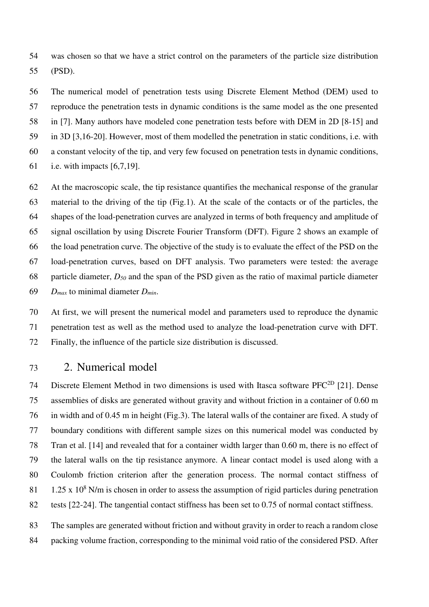54 was chosen so that we have a strict control on the parameters of the particle size distribution 55 (PSD).

56 The numerical model of penetration tests using Discrete Element Method (DEM) used to 57 reproduce the penetration tests in dynamic conditions is the same model as the one presented 58 in [7]. Many authors have modeled cone penetration tests before with DEM in 2D [8-15] and 59 in 3D [3,16-20]. However, most of them modelled the penetration in static conditions, i.e. with 60 a constant velocity of the tip, and very few focused on penetration tests in dynamic conditions, 61 i.e. with impacts [6,7,19].

62 At the macroscopic scale, the tip resistance quantifies the mechanical response of the granular 63 material to the driving of the tip (Fig.1). At the scale of the contacts or of the particles, the 64 shapes of the load-penetration curves are analyzed in terms of both frequency and amplitude of 65 signal oscillation by using Discrete Fourier Transform (DFT). Figure 2 shows an example of 66 the load penetration curve. The objective of the study is to evaluate the effect of the PSD on the 67 load-penetration curves, based on DFT analysis. Two parameters were tested: the average 68 particle diameter, *D50* and the span of the PSD given as the ratio of maximal particle diameter 69 *Dmax* to minimal diameter *Dmin*.

70 At first, we will present the numerical model and parameters used to reproduce the dynamic 71 penetration test as well as the method used to analyze the load-penetration curve with DFT. 72 Finally, the influence of the particle size distribution is discussed.

## 73 2. Numerical model

74 Discrete Element Method in two dimensions is used with Itasca software PFC<sup>2D</sup> [21]. Dense 75 assemblies of disks are generated without gravity and without friction in a container of 0.60 m 76 in width and of 0.45 m in height (Fig.3). The lateral walls of the container are fixed. A study of 77 boundary conditions with different sample sizes on this numerical model was conducted by 78 Tran et al. [14] and revealed that for a container width larger than 0.60 m, there is no effect of 79 the lateral walls on the tip resistance anymore. A linear contact model is used along with a 80 Coulomb friction criterion after the generation process. The normal contact stiffness of 81 1.25 x  $10^8$  N/m is chosen in order to assess the assumption of rigid particles during penetration 82 tests [22-24]. The tangential contact stiffness has been set to 0.75 of normal contact stiffness.

83 The samples are generated without friction and without gravity in order to reach a random close 84 packing volume fraction, corresponding to the minimal void ratio of the considered PSD. After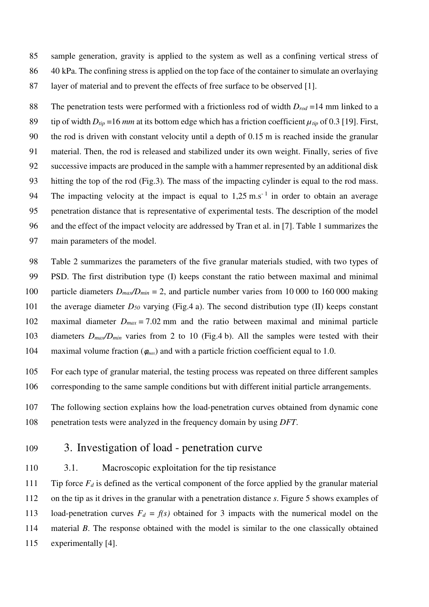85 sample generation, gravity is applied to the system as well as a confining vertical stress of 86 40 kPa. The confining stress is applied on the top face of the container to simulate an overlaying 87 layer of material and to prevent the effects of free surface to be observed [1].

88 The penetration tests were performed with a frictionless rod of width *Drod* =14 mm linked to a 89 tip of width  $D_{tip} = 16$  *mm* at its bottom edge which has a friction coefficient  $\mu_{tip}$  of 0.3 [19]. First, 90 the rod is driven with constant velocity until a depth of 0.15 m is reached inside the granular 91 material. Then, the rod is released and stabilized under its own weight. Finally, series of five 92 successive impacts are produced in the sample with a hammer represented by an additional disk 93 hitting the top of the rod (Fig.3)*.* The mass of the impacting cylinder is equal to the rod mass. 94 The impacting velocity at the impact is equal to  $1.25 \text{ m.s}^{-1}$  in order to obtain an average 95 penetration distance that is representative of experimental tests. The description of the model 96 and the effect of the impact velocity are addressed by Tran et al. in [7]. Table 1 summarizes the 97 main parameters of the model.

98 Table 2 summarizes the parameters of the five granular materials studied, with two types of 99 PSD. The first distribution type (I) keeps constant the ratio between maximal and minimal 100 particle diameters *Dmax/Dmin =* 2, and particle number varies from 10 000 to 160 000 making 101 the average diameter *D50* varying (Fig.4 a). The second distribution type (II) keeps constant 102 maximal diameter  $D_{max} = 7.02$  mm and the ratio between maximal and minimal particle 103 diameters *Dmax/Dmin* varies from 2 to 10 (Fig.4 b). All the samples were tested with their 104 maximal volume fraction (φ*max*) and with a particle friction coefficient equal to 1.0.

105 For each type of granular material, the testing process was repeated on three different samples 106 corresponding to the same sample conditions but with different initial particle arrangements.

107 The following section explains how the load-penetration curves obtained from dynamic cone 108 penetration tests were analyzed in the frequency domain by using *DFT*.

- 109 3. Investigation of load penetration curve
- 110 3.1. Macroscopic exploitation for the tip resistance

111 Tip force  $F_d$  is defined as the vertical component of the force applied by the granular material 112 on the tip as it drives in the granular with a penetration distance *s*. Figure 5 shows examples of 113 load-penetration curves  $F_d = f(s)$  obtained for 3 impacts with the numerical model on the 114 material *B*. The response obtained with the model is similar to the one classically obtained 115 experimentally [4].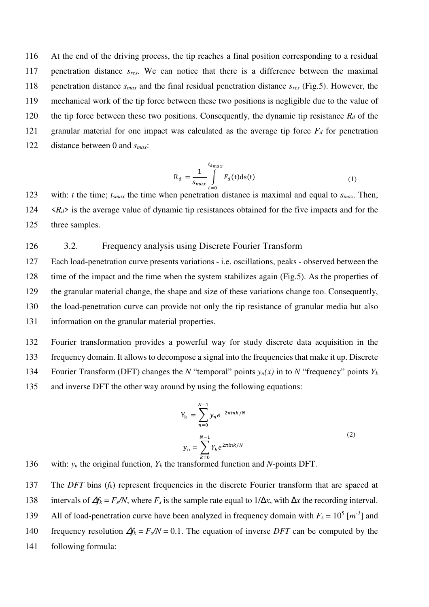116 At the end of the driving process, the tip reaches a final position corresponding to a residual 117 penetration distance *sres*. We can notice that there is a difference between the maximal 118 penetration distance *smax* and the final residual penetration distance *sres* (Fig.5). However, the 119 mechanical work of the tip force between these two positions is negligible due to the value of 120 the tip force between these two positions. Consequently, the dynamic tip resistance  $R_d$  of the 121 granular material for one impact was calculated as the average tip force  $F_d$  for penetration 122 distance between 0 and *smax*:

$$
R_d = \frac{1}{s_{max}} \int_{t=0}^{t_{smax}} F_d(t) ds(t)
$$
 (1)

123 with: *t* the time;  $t_{smax}$  the time when penetration distance is maximal and equal to  $s_{max}$ . Then,  $124 \le R_d$  is the average value of dynamic tip resistances obtained for the five impacts and for the 125 three samples.

#### 126 3.2. Frequency analysis using Discrete Fourier Transform

127 Each load-penetration curve presents variations - i.e. oscillations, peaks - observed between the 128 time of the impact and the time when the system stabilizes again (Fig.5). As the properties of 129 the granular material change, the shape and size of these variations change too. Consequently, 130 the load-penetration curve can provide not only the tip resistance of granular media but also 131 information on the granular material properties.

132 Fourier transformation provides a powerful way for study discrete data acquisition in the 133 frequency domain. It allows to decompose a signal into the frequencies that make it up. Discrete 134 Fourier Transform (DFT) changes the *N* "temporal" points  $y_n(x)$  in to *N* "frequency" points  $Y_k$ 135 and inverse DFT the other way around by using the following equations:

$$
Y_{k} = \sum_{n=0}^{N-1} y_{n} e^{-2\pi i n k/N}
$$
  

$$
y_{n} = \sum_{k=0}^{N-1} Y_{k} e^{2\pi i n k/N}
$$
 (2)

136 with: *y<sub>n</sub>* the original function,  $Y_k$  the transformed function and *N*-points DFT.

137 The *DFT* bins (*fk*) represent frequencies in the discrete Fourier transform that are spaced at 138 intervals of  $\Delta f_k = F_s/N$ , where  $F_s$  is the sample rate equal to  $1/\Delta x$ , with  $\Delta x$  the recording interval. 139 All of load-penetration curve have been analyzed in frequency domain with  $F_s = 10^5$  [ $m^{-1}$ ] and 140 frequency resolution  $\Delta f_k = F_s/N = 0.1$ . The equation of inverse *DFT* can be computed by the 141 following formula: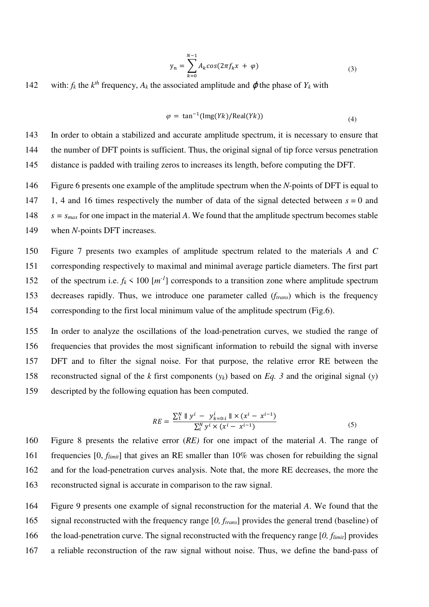$$
y_n = \sum_{k=0}^{N-1} A_k \cos(2\pi f_k x + \varphi)
$$
 (3)

142 with:  $f_k$  the  $k^{th}$  frequency,  $A_k$  the associated amplitude and  $\varphi$  the phase of  $Y_k$  with

$$
\varphi = \tan^{-1}(\text{Img}(Yk)/\text{Real}(Yk))\tag{4}
$$

143 In order to obtain a stabilized and accurate amplitude spectrum, it is necessary to ensure that 144 the number of DFT points is sufficient. Thus, the original signal of tip force versus penetration 145 distance is padded with trailing zeros to increases its length, before computing the DFT.

146 Figure 6 presents one example of the amplitude spectrum when the *N*-points of DFT is equal to

147 1, 4 and 16 times respectively the number of data of the signal detected between *s* = 0 and

148  $s = s_{max}$  for one impact in the material *A*. We found that the amplitude spectrum becomes stable

149 when *N*-points DFT increases.

150 Figure 7 presents two examples of amplitude spectrum related to the materials *A* and *C* 151 corresponding respectively to maximal and minimal average particle diameters. The first part 152 of the spectrum i.e.  $f_k < 100$  [ $m^{-1}$ ] corresponds to a transition zone where amplitude spectrum 153 decreases rapidly. Thus, we introduce one parameter called (*ftrans*) which is the frequency 154 corresponding to the first local minimum value of the amplitude spectrum (Fig.6).

155 In order to analyze the oscillations of the load-penetration curves, we studied the range of 156 frequencies that provides the most significant information to rebuild the signal with inverse 157 DFT and to filter the signal noise. For that purpose, the relative error RE between the 158 reconstructed signal of the *k* first components  $(v_k)$  based on *Eq.* 3 and the original signal  $(v)$ 159 descripted by the following equation has been computed.

$$
RE = \frac{\sum_{1}^{N} \parallel y^{i} - y^{i}_{k=0:i} \parallel \times (x^{i} - x^{i-1})}{\sum_{i}^{N} y^{i} \times (x^{i} - x^{i-1})}
$$
(5)

160 Figure 8 presents the relative error (*RE)* for one impact of the material *A*. The range of 161 frequencies [0, *flimit*] that gives an RE smaller than 10% was chosen for rebuilding the signal 162 and for the load-penetration curves analysis. Note that, the more RE decreases, the more the 163 reconstructed signal is accurate in comparison to the raw signal.

164 Figure 9 presents one example of signal reconstruction for the material *A*. We found that the 165 signal reconstructed with the frequency range [*0, ftrans*] provides the general trend (baseline) of 166 the load-penetration curve. The signal reconstructed with the frequency range [*0, flimit*] provides 167 a reliable reconstruction of the raw signal without noise. Thus, we define the band-pass of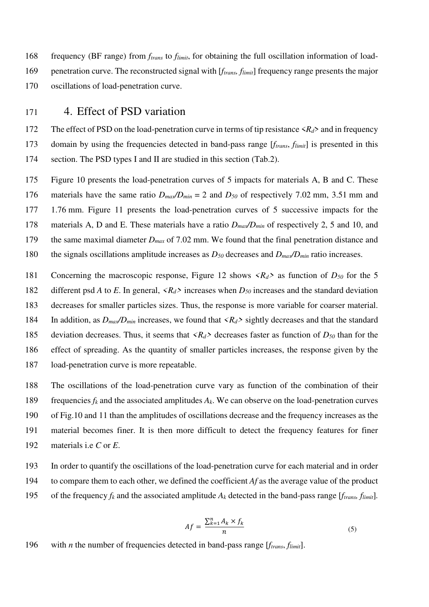168 frequency (BF range) from *ftrans* to *flimit*, for obtaining the full oscillation information of load-169 penetration curve. The reconstructed signal with [*ftrans, flimit*] frequency range presents the major 170 oscillations of load-penetration curve.

## 171 4. Effect of PSD variation

172 The effect of PSD on the load-penetration curve in terms of tip resistance  $\langle R_d \rangle$  and in frequency 173 domain by using the frequencies detected in band-pass range [*ftrans*, *flimit*] is presented in this 174 section. The PSD types I and II are studied in this section (Tab.2).

175 Figure 10 presents the load-penetration curves of 5 impacts for materials A, B and C. These 176 materials have the same ratio  $D_{max}/D_{min} = 2$  and  $D_{50}$  of respectively 7.02 mm, 3.51 mm and 177 1.76 mm. Figure 11 presents the load-penetration curves of 5 successive impacts for the 178 materials A, D and E. These materials have a ratio *Dmax/Dmin* of respectively 2, 5 and 10, and 179 the same maximal diameter *Dmax* of 7.02 mm. We found that the final penetration distance and 180 the signals oscillations amplitude increases as *D50* decreases and *Dmax/Dmin* ratio increases.

181 Concerning the macroscopic response, Figure 12 shows *<Rd>* as function of *D50* for the 5

182 different psd *A* to *E*. In general,  $\langle R_d \rangle$  increases when  $D_{50}$  increases and the standard deviation

183 decreases for smaller particles sizes. Thus, the response is more variable for coarser material.

184 In addition, as  $D_{max}/D_{min}$  increases, we found that  $\langle R_d \rangle$  sightly decreases and that the standard

185 deviation decreases. Thus, it seems that *<Rd>* decreases faster as function of *D50* than for the

186 effect of spreading. As the quantity of smaller particles increases, the response given by the 187 load-penetration curve is more repeatable.

- 188 The oscillations of the load-penetration curve vary as function of the combination of their 189 frequencies  $f_k$  and the associated amplitudes  $A_k$ . We can observe on the load-penetration curves 190 of Fig.10 and 11 than the amplitudes of oscillations decrease and the frequency increases as the 191 material becomes finer. It is then more difficult to detect the frequency features for finer 192 materials i.e *C* or *E*.
- 193 In order to quantify the oscillations of the load-penetration curve for each material and in order
- 194 to compare them to each other, we defined the coefficient *Af* as the average value of the product
- 195 of the frequency  $f_k$  and the associated amplitude  $A_k$  detected in the band-pass range [*f<sub>trans</sub>*, *f<sub>limit</sub>*].

$$
Af = \frac{\sum_{k=1}^{n} A_k \times f_k}{n} \tag{5}
$$

196 with *n* the number of frequencies detected in band-pass range [*ftrans*, *flimit*].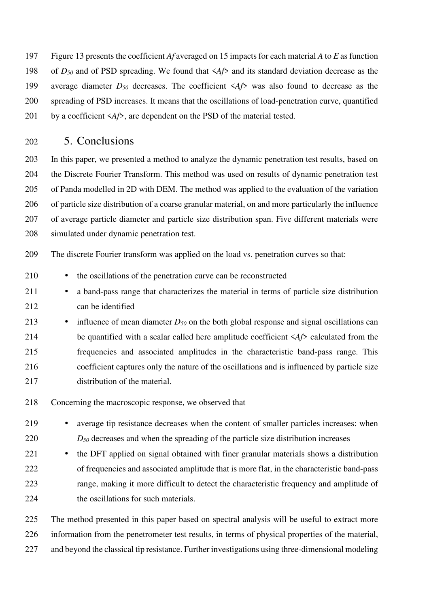197 Figure 13 presents the coefficient *Af* averaged on 15 impacts for each material *A* to *E* as function 198 of *D50* and of PSD spreading. We found that <*Af*> and its standard deviation decrease as the 199 average diameter *D50* decreases. The coefficient <*Af*> was also found to decrease as the 200 spreading of PSD increases. It means that the oscillations of load-penetration curve, quantified 201 by a coefficient  $\langle Af \rangle$ , are dependent on the PSD of the material tested.

## 202 5. Conclusions

203 In this paper, we presented a method to analyze the dynamic penetration test results, based on 204 the Discrete Fourier Transform. This method was used on results of dynamic penetration test 205 of Panda modelled in 2D with DEM. The method was applied to the evaluation of the variation 206 of particle size distribution of a coarse granular material, on and more particularly the influence 207 of average particle diameter and particle size distribution span. Five different materials were 208 simulated under dynamic penetration test.

209 The discrete Fourier transform was applied on the load vs. penetration curves so that:

- 210 the oscillations of the penetration curve can be reconstructed
- 211 a band-pass range that characterizes the material in terms of particle size distribution 212 can be identified
- 213 influence of mean diameter  $D_{50}$  on the both global response and signal oscillations can 214 be quantified with a scalar called here amplitude coefficient  $\langle A/f \rangle$  calculated from the 215 frequencies and associated amplitudes in the characteristic band-pass range. This 216 coefficient captures only the nature of the oscillations and is influenced by particle size 217 distribution of the material.
- 218 Concerning the macroscopic response, we observed that
- 219 average tip resistance decreases when the content of smaller particles increases: when 220 *D50* decreases and when the spreading of the particle size distribution increases
- 221 the DFT applied on signal obtained with finer granular materials shows a distribution 222 of frequencies and associated amplitude that is more flat, in the characteristic band-pass 223 range, making it more difficult to detect the characteristic frequency and amplitude of 224 the oscillations for such materials.
- 225 The method presented in this paper based on spectral analysis will be useful to extract more 226 information from the penetrometer test results, in terms of physical properties of the material, 227 and beyond the classical tip resistance. Further investigations using three-dimensional modeling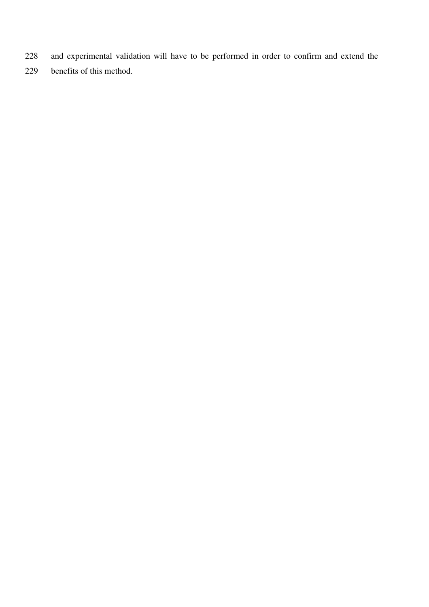- 228 and experimental validation will have to be performed in order to confirm and extend the
- 229 benefits of this method.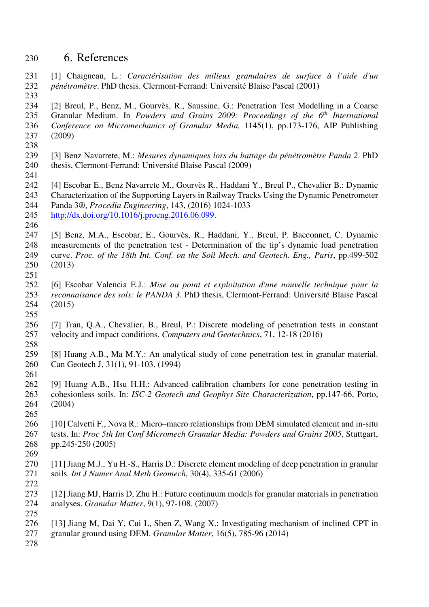# 230 6. References

- 231 [1] Chaigneau, L.: *Caractérisation des milieux granulaires de surface à l'aide d'un*  232 *pénétromètre*. PhD thesis. Clermont-Ferrand: Université Blaise Pascal (2001) 233
- 234 [2] Breul, P., Benz, M., Gourvès, R., Saussine, G.: Penetration Test Modelling in a Coarse 235 Granular Medium. In *Powders and Grains 2009: Proceedings of the 6<sup>th</sup> International* 236 *Conference on Micromechanics of Granular Media,* 1145(1), pp.173-176, AIP Publishing 237 (2009)
- 238
- 239 [3] Benz Navarrete, M.: *Mesures dynamiques lors du battage du pénétromètre Panda 2*. PhD 240 thesis, Clermont-Ferrand: Université Blaise Pascal (2009)
- 241
- 242 [4] Escobar E., Benz Navarrete M., Gourvès R., Haddani Y., Breul P., Chevalier B.: Dynamic 243 Characterization of the Supporting Layers in Railway Tracks Using the Dynamic Penetrometer 244 Panda 3®, *Procedia Engineering*, 143, (2016) 1024-1033
- 245 http://dx.doi.org/10.1016/j.proeng.2016.06.099. 246
- 247 [5] Benz, M.A., Escobar, E., Gourvès, R., Haddani, Y., Breul, P. Bacconnet, C. Dynamic 248 measurements of the penetration test - Determination of the tip's dynamic load penetration 249 curve. *Proc. of the 18th Int. Conf. on the Soil Mech. and Geotech. Eng., Paris*, pp.499-502 250 (2013) 251
- 252 [6] Escobar Valencia E.J.: *Mise au point et exploitation d'une nouvelle technique pour la*  253 *reconnaisance des sols: le PANDA 3*. PhD thesis, Clermont-Ferrand: Université Blaise Pascal 254 (2015) 255
- 256 [7] Tran, Q.A., Chevalier, B., Breul, P.: Discrete modeling of penetration tests in constant 257 velocity and impact conditions. *Computers and Geotechnics*, 71, 12-18 (2016)
- 258
	- 259 [8] Huang A.B., Ma M.Y.: An analytical study of cone penetration test in granular material. 260 Can Geotech J, 31(1), 91-103. (1994) 261
	- 262 [9] Huang A.B., Hsu H.H.: Advanced calibration chambers for cone penetration testing in 263 cohesionless soils. In: *ISC-2 Geotech and Geophys Site Characterization*, pp.147-66, Porto, 264 (2004) 265
	- 266 [10] Calvetti F., Nova R.: Micro–macro relationships from DEM simulated element and in-situ 267 tests. In: *Proc 5th Int Conf Micromech Granular Media: Powders and Grains 2005*, Stuttgart, 268 pp.245-250 (2005) 269
	- 270 [11] Jiang M.J., Yu H.-S., Harris D.: Discrete element modeling of deep penetration in granular 271 soils. *Int J Numer Anal Meth Geomech*, 30(4), 335-61 (2006)
	- 272
	- 273 [12] Jiang MJ, Harris D, Zhu H.: Future continuum models for granular materials in penetration 274 analyses. *Granular Matter*, 9(1), 97-108. (2007) 275
	- 276 [13] Jiang M, Dai Y, Cui L, Shen Z, Wang X.: Investigating mechanism of inclined CPT in
	- 277 granular ground using DEM. *Granular Matter*, 16(5), 785-96 (2014)
	- 278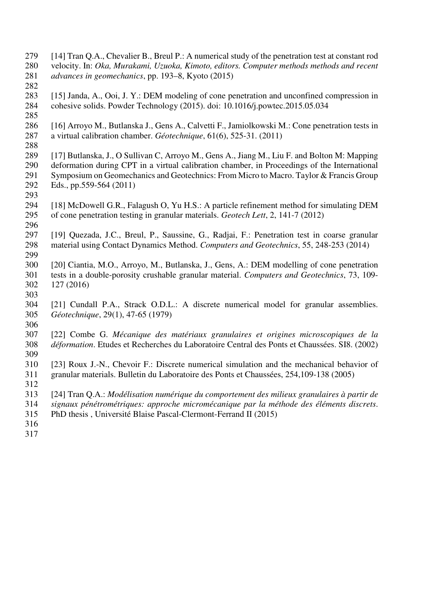- 279 [14] Tran Q.A., Chevalier B., Breul P.: A numerical study of the penetration test at constant rod 280 velocity. In: *Oka, Murakami, Uzuoka, Kimoto, editors. Computer methods methods and recent*  281 *advances in geomechanics*, pp. 193–8, Kyoto (2015)
- 282 283 [15] Janda, A., Ooi, J. Y.: DEM modeling of cone penetration and unconfined compression in 284 cohesive solids. Powder Technology (2015). doi: 10.1016/j.powtec.2015.05.034
- 285
- 286 [16] Arroyo M., Butlanska J., Gens A., Calvetti F., Jamiolkowski M.: Cone penetration tests in 287 a virtual calibration chamber. *Géotechnique*, 61(6), 525-31. (2011) 288
- 289 [17] Butlanska, J., O Sullivan C, Arroyo M., Gens A., Jiang M., Liu F. and Bolton M: Mapping 290 deformation during CPT in a virtual calibration chamber, in Proceedings of the International 291 Symposium on Geomechanics and Geotechnics: From Micro to Macro. Taylor & Francis Group 292 Eds., pp.559-564 (2011) 293
- 294 [18] McDowell G.R., Falagush O, Yu H.S.: A particle refinement method for simulating DEM 295 of cone penetration testing in granular materials. *Geotech Lett*, 2, 141-7 (2012)
- 296 297 [19] Quezada, J.C., Breul, P., Saussine, G., Radjai, F.: Penetration test in coarse granular 298 material using Contact Dynamics Method. *Computers and Geotechnics*, 55, 248-253 (2014)
- 299 300 [20] Ciantia, M.O., Arroyo, M., Butlanska, J., Gens, A.: DEM modelling of cone penetration 301 tests in a double-porosity crushable granular material. *Computers and Geotechnics*, 73, 109- 302 127 (2016)
- 303 304 [21] Cundall P.A., Strack O.D.L.: A discrete numerical model for granular assemblies. 305 *Géotechnique*, 29(1), 47-65 (1979)
- 307 [22] Combe G. *Mécanique des matériaux granulaires et origines microscopiques de la*  308 *déformation*. Etudes et Recherches du Laboratoire Central des Ponts et Chaussées. SI8. (2002) 309
- 310 [23] Roux J.-N., Chevoir F.: Discrete numerical simulation and the mechanical behavior of 311 granular materials. Bulletin du Laboratoire des Ponts et Chaussées, 254,109-138 (2005)
- 312

- 313 [24] Tran Q.A.: *Modélisation numérique du comportement des milieux granulaires à partir de*  314 *signaux pénétrométriques: approche micromécanique par la méthode des éléments discrets*.
- 315 PhD thesis , Université Blaise Pascal-Clermont-Ferrand II (2015)
- 316
- 317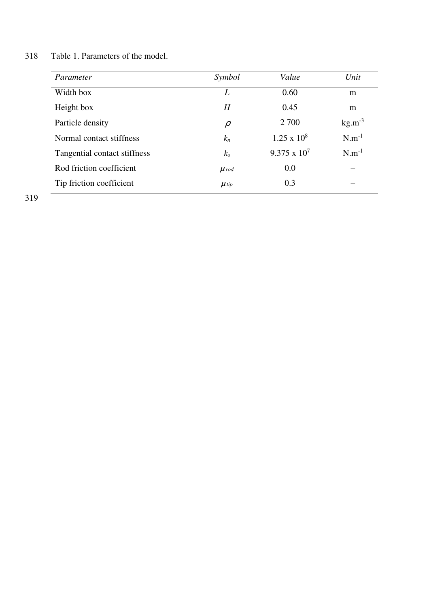| Parameter                    | Symbol      | Value               | Unit        |
|------------------------------|-------------|---------------------|-------------|
| Width box                    | L           | 0.60                | m           |
| Height box                   | H           | 0.45                | m           |
| Particle density             | $\rho$      | 2 700               | $kg.m^{-3}$ |
| Normal contact stiffness     | $k_n$       | $1.25 \times 10^8$  | $N.m^{-1}$  |
| Tangential contact stiffness | $k_s$       | $9.375 \times 10^7$ | $N.m^{-1}$  |
| Rod friction coefficient     | $\mu_{rod}$ | 0.0                 |             |
| Tip friction coefficient     | $\mu$ tip   | 0.3                 |             |

318 Table 1. Parameters of the model.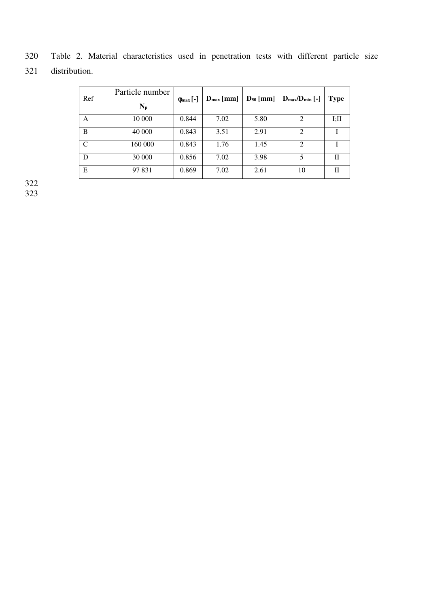| Ref | Particle number<br>$N_p$ | $\phi_{\text{max}}$ [-] | $D_{\text{max}}$ [mm] |      | $D_{50}$ [mm]   $D_{max}/D_{min}$ [-] | <b>Type</b> |
|-----|--------------------------|-------------------------|-----------------------|------|---------------------------------------|-------------|
| А   | 10 000                   | 0.844                   | 7.02                  | 5.80 | 2                                     | I;II        |
| B   | 40 000                   | 0.843                   | 3.51                  | 2.91 | $\overline{2}$                        |             |
| C   | 160 000                  | 0.843                   | 1.76                  | 1.45 | $\mathcal{D}_{\mathcal{L}}$           |             |
| D   | 30 000                   | 0.856                   | 7.02                  | 3.98 | 5                                     | Н           |
| E   | 97 831                   | 0.869                   | 7.02                  | 2.61 | 10                                    |             |

320 Table 2. Material characteristics used in penetration tests with different particle size 321 distribution.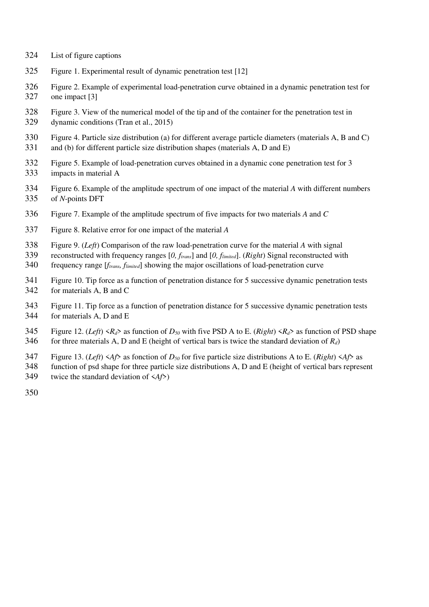- List of figure captions
- Figure 1. Experimental result of dynamic penetration test [12]
- Figure 2. Example of experimental load-penetration curve obtained in a dynamic penetration test for one impact [3]
- Figure 3. View of the numerical model of the tip and of the container for the penetration test in dynamic conditions (Tran et al., 2015)
- Figure 4. Particle size distribution (a) for different average particle diameters (materials A, B and C) and (b) for different particle size distribution shapes (materials A, D and E)
- Figure 5. Example of load-penetration curves obtained in a dynamic cone penetration test for 3 impacts in material A
- Figure 6. Example of the amplitude spectrum of one impact of the material *A* with different numbers of *N*-points DFT
- Figure 7. Example of the amplitude spectrum of five impacts for two materials *A* and *C*
- Figure 8. Relative error for one impact of the material *A*
- Figure 9. (*Left*) Comparison of the raw load-penetration curve for the material *A* with signal
- reconstructed with frequency ranges [*0, ftrans*] and [*0, flimited*]. (*Right*) Signal reconstructed with
- frequency range [*ftrans, flimited*] showing the major oscillations of load-penetration curve
- Figure 10. Tip force as a function of penetration distance for 5 successive dynamic penetration tests for materials A, B and C
- Figure 11. Tip force as a function of penetration distance for 5 successive dynamic penetration tests for materials A, D and E
- 345 Figure 12. (*Left*)  $\langle R_d \rangle$  as function of  $D_{50}$  with five PSD A to E. (*Right*)  $\langle R_d \rangle$  as function of PSD shape 346 for three materials A, D and E (height of vertical bars is twice the standard deviation of  $R_d$ )
- 347 Figure 13. (*Left*)  $\langle Af \rangle$  as fonction of  $D_{50}$  for five particle size distributions A to E. (*Right*)  $\langle Af \rangle$  as
- function of psd shape for three particle size distributions A, D and E (height of vertical bars represent twice the standard deviation of <*Af*>)
-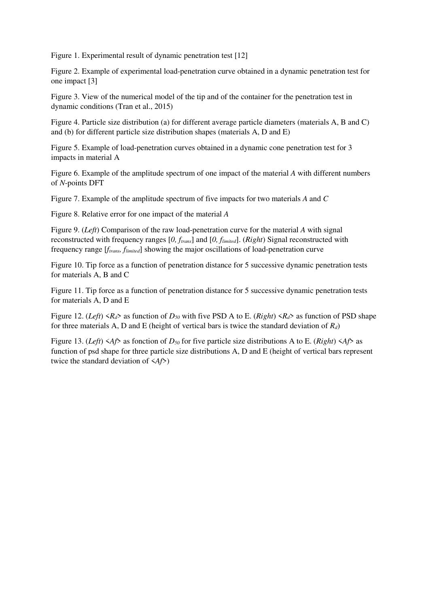Figure 1. Experimental result of dynamic penetration test [12]

Figure 2. Example of experimental load-penetration curve obtained in a dynamic penetration test for one impact [3]

Figure 3. View of the numerical model of the tip and of the container for the penetration test in dynamic conditions (Tran et al., 2015)

Figure 4. Particle size distribution (a) for different average particle diameters (materials A, B and C) and (b) for different particle size distribution shapes (materials A, D and E)

Figure 5. Example of load-penetration curves obtained in a dynamic cone penetration test for 3 impacts in material A

Figure 6. Example of the amplitude spectrum of one impact of the material *A* with different numbers of *N*-points DFT

Figure 7. Example of the amplitude spectrum of five impacts for two materials *A* and *C* 

Figure 8. Relative error for one impact of the material *A* 

Figure 9. (*Left*) Comparison of the raw load-penetration curve for the material *A* with signal reconstructed with frequency ranges [*0, ftrans*] and [*0, flimited*]. (*Right*) Signal reconstructed with frequency range [*ftrans, flimited*] showing the major oscillations of load-penetration curve

Figure 10. Tip force as a function of penetration distance for 5 successive dynamic penetration tests for materials A, B and C

Figure 11. Tip force as a function of penetration distance for 5 successive dynamic penetration tests for materials A, D and E

Figure 12. (*Left*)  $\langle R_d \rangle$  as function of  $D_{50}$  with five PSD A to E. (*Right*)  $\langle R_d \rangle$  as function of PSD shape for three materials A, D and E (height of vertical bars is twice the standard deviation of *Rd*)

Figure 13. (*Left*)  $\langle Af \rangle$  as fonction of  $D_{50}$  for five particle size distributions A to E. (*Right*)  $\langle Af \rangle$  as function of psd shape for three particle size distributions A, D and E (height of vertical bars represent twice the standard deviation of <*Af*>)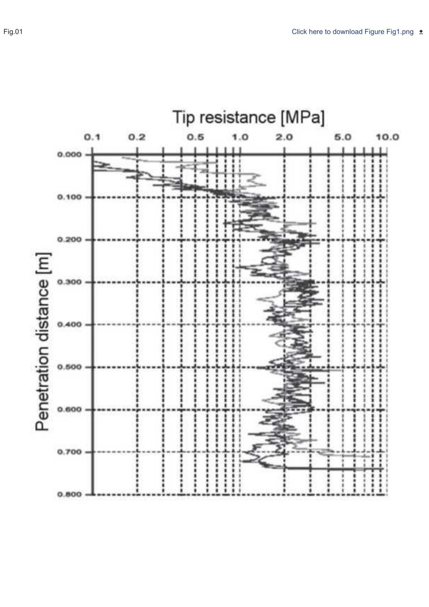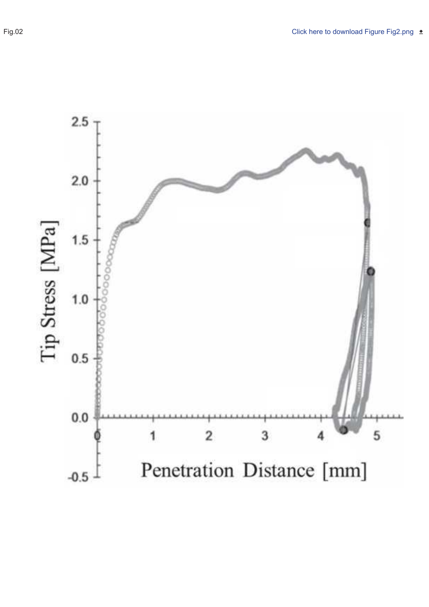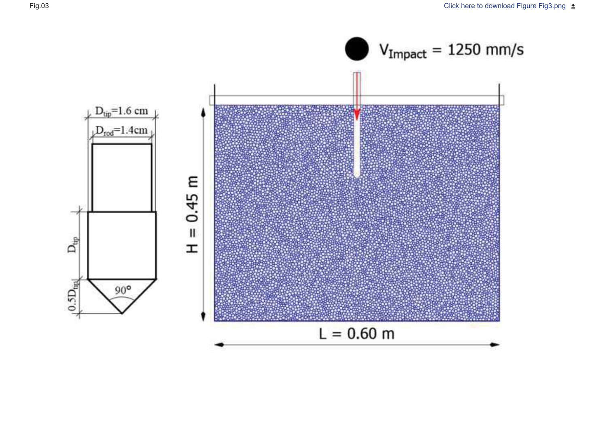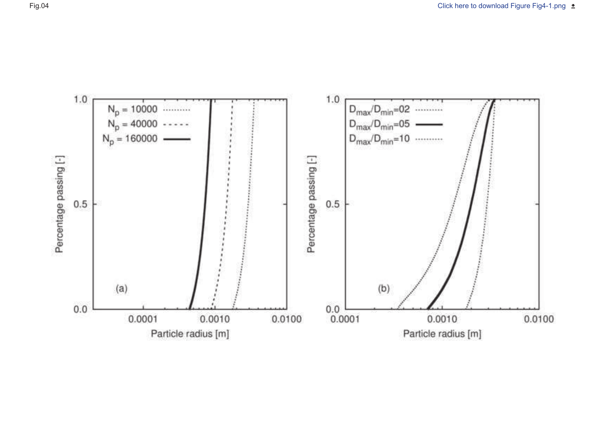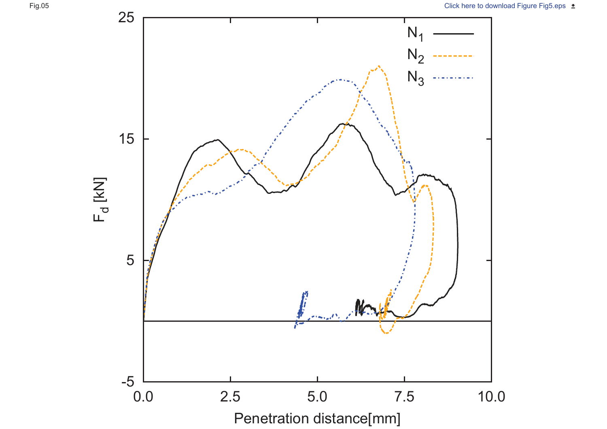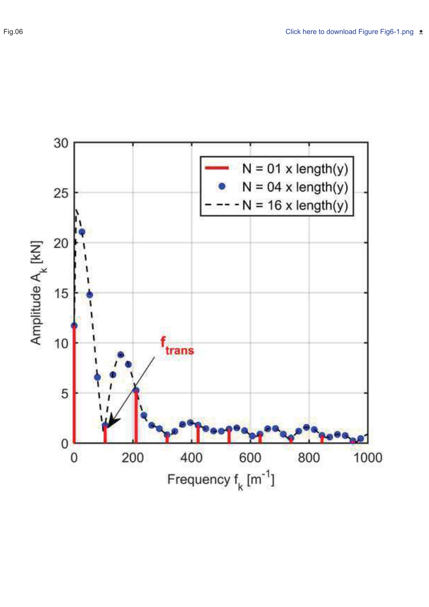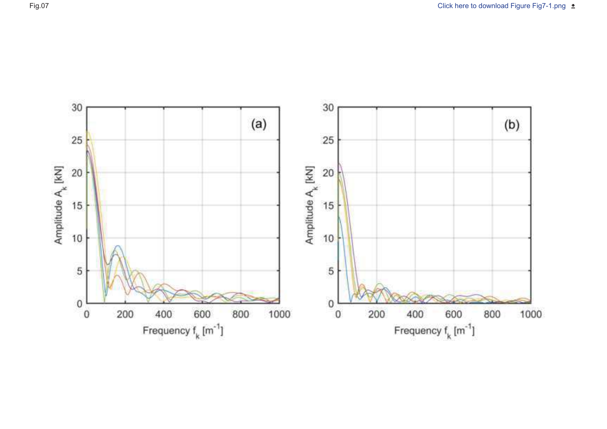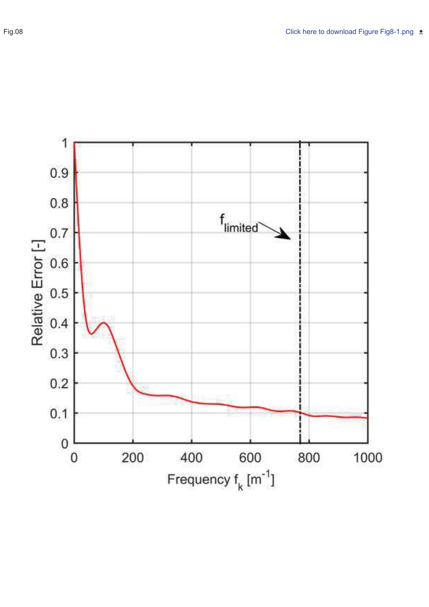

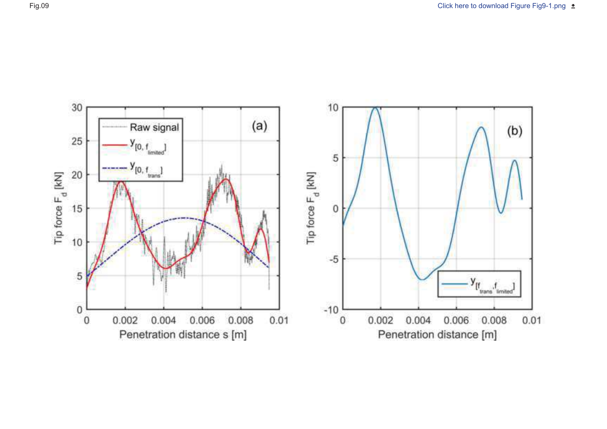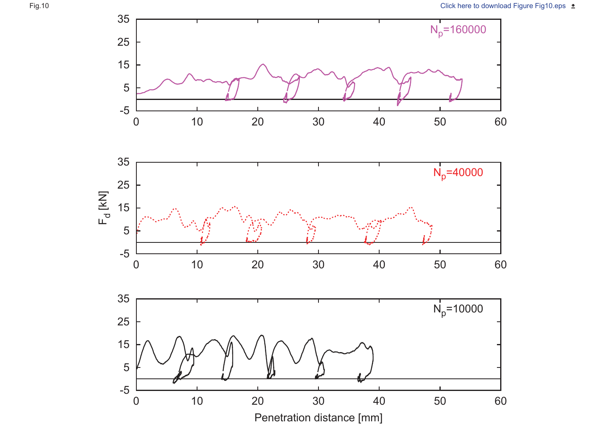



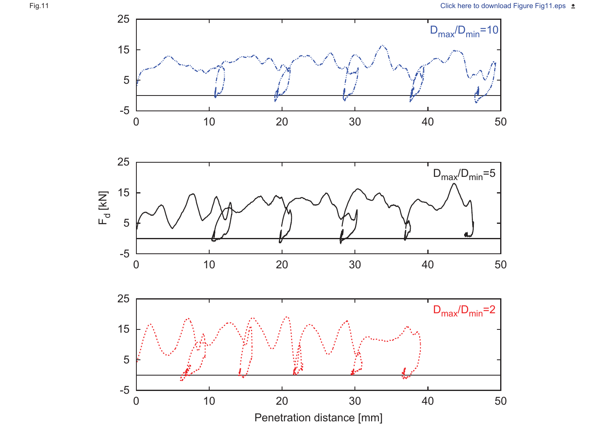



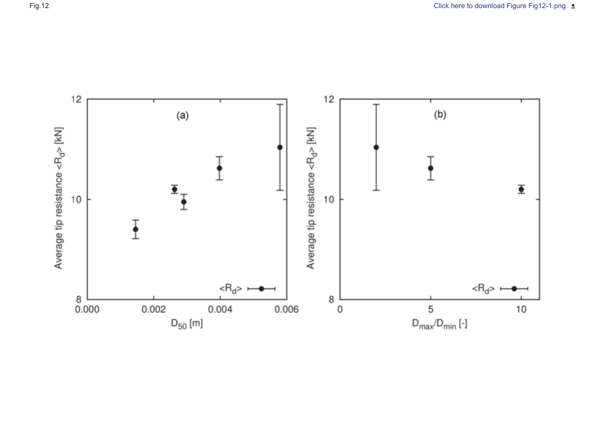